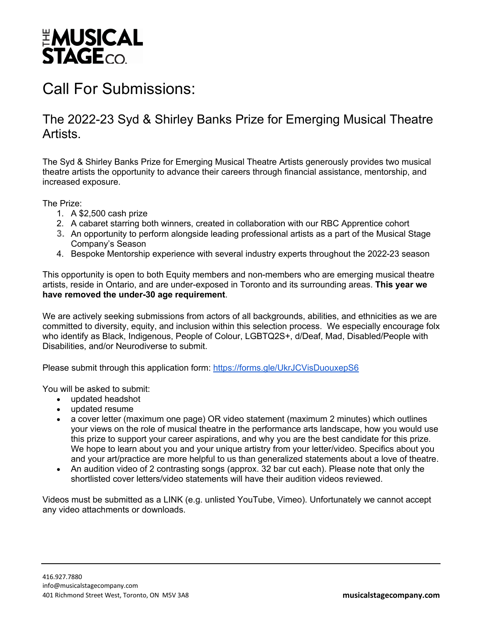

## Call For Submissions:

## The 2022-23 Syd & Shirley Banks Prize for Emerging Musical Theatre Artists.

The Syd & Shirley Banks Prize for Emerging Musical Theatre Artists generously provides two musical theatre artists the opportunity to advance their careers through financial assistance, mentorship, and increased exposure.

The Prize:

- 1. A \$2,500 cash prize
- 2. A cabaret starring both winners, created in collaboration with our RBC Apprentice cohort
- **3.** An opportunity to perform alongside leading professional artists as a part of the Musical Stage Company's Season
- 4. Bespoke Mentorship experience with several industry experts throughout the 2022-23 season

This opportunity is open to both Equity members and non-members who are emerging musical theatre artists, reside in Ontario, and are under-exposed in Toronto and its surrounding areas. **This year we have removed the under-30 age requirement**.

We are actively seeking submissions from actors of all backgrounds, abilities, and ethnicities as we are committed to diversity, equity, and inclusion within this selection process. We especially encourage folx who identify as Black, Indigenous, People of Colour, LGBTQ2S+, d/Deaf, Mad, Disabled/People with Disabilities, and/or Neurodiverse to submit.

Please submit through this application form: https://forms.gle/UkrJCVisDuouxepS6

You will be asked to submit:

- updated headshot
- updated resume
- a cover letter (maximum one page) OR video statement (maximum 2 minutes) which outlines your views on the role of musical theatre in the performance arts landscape, how you would use this prize to support your career aspirations, and why you are the best candidate for this prize. We hope to learn about you and your unique artistry from your letter/video. Specifics about you and your art/practice are more helpful to us than generalized statements about a love of theatre.
- An audition video of 2 contrasting songs (approx. 32 bar cut each). Please note that only the shortlisted cover letters/video statements will have their audition videos reviewed.

Videos must be submitted as a LINK (e.g. unlisted YouTube, Vimeo). Unfortunately we cannot accept any video attachments or downloads.